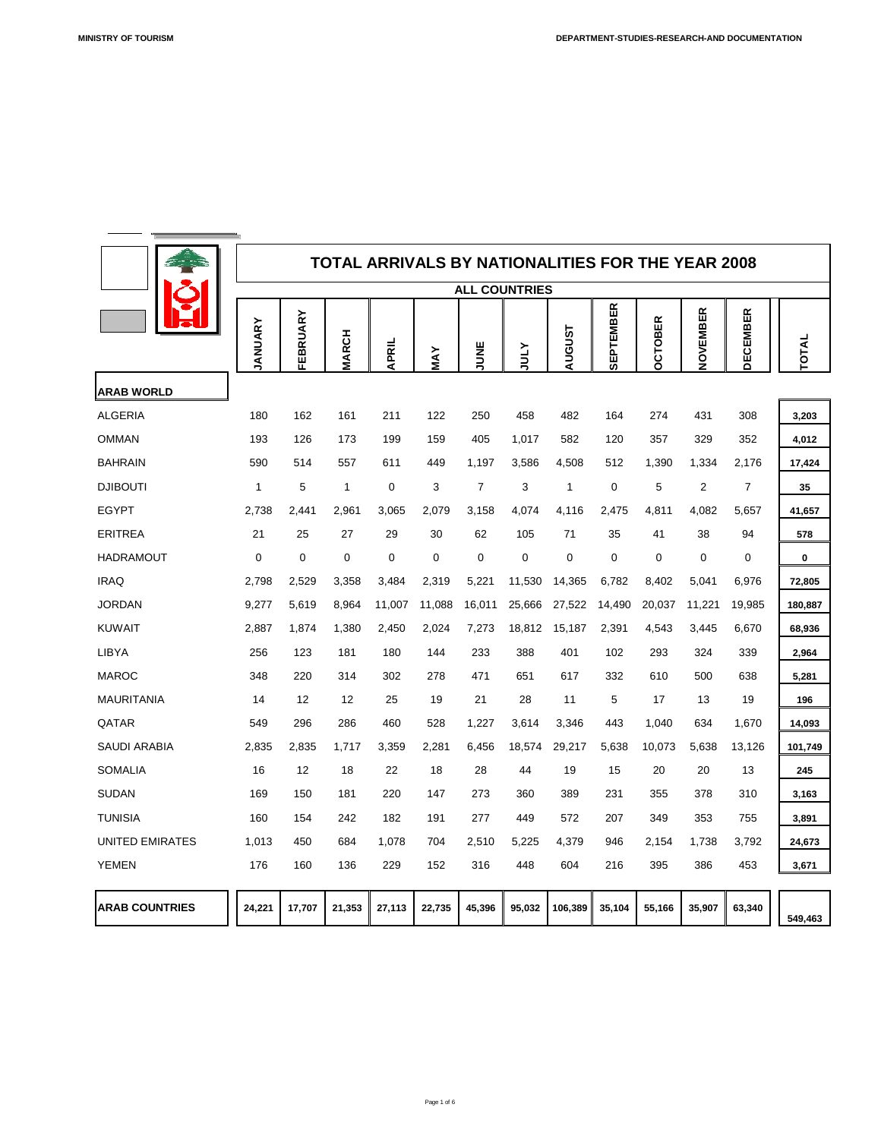

|                        | <b>TOTAL ARRIVALS BY NATIONALITIES FOR THE YEAR 2008</b> |                |                         |                  |                |                |                      |                |                  |                    |                |                  |                  |
|------------------------|----------------------------------------------------------|----------------|-------------------------|------------------|----------------|----------------|----------------------|----------------|------------------|--------------------|----------------|------------------|------------------|
|                        |                                                          |                |                         |                  |                |                | <b>ALL COUNTRIES</b> |                |                  |                    |                |                  |                  |
|                        | ANUARY                                                   | EBRUARY<br>ய   | <b>MARCH</b>            | <b>APRIL</b>     | MAY            | JUNE           | <b>ATNC</b>          | <b>TSUSUA</b>  | <b>SEPTEMBER</b> | <b>CTOBER</b><br>O | NOVEMBER       | <b>DECEMBER</b>  | TOTAL            |
| <b>ARAB WORLD</b>      |                                                          |                |                         |                  |                |                |                      |                |                  |                    |                |                  |                  |
| <b>ALGERIA</b>         | 180                                                      | 162            | 161                     | 211              | 122            | 250            | 458                  | 482            | 164              | 274                | 431            | 308              | 3,203            |
| <b>OMMAN</b>           | 193                                                      | 126            | 173                     | 199              | 159            | 405            | 1,017                | 582            | 120              | 357                | 329            | 352              | 4,012            |
| <b>BAHRAIN</b>         | 590                                                      | 514            | 557                     | 611              | 449            | 1,197          | 3,586                | 4,508          | 512              | 1,390              | 1,334          | 2,176            | 17,424           |
| <b>DJIBOUTI</b>        | 1                                                        | 5              | $\overline{\mathbf{1}}$ | $\overline{0}$   | 3              | $\overline{7}$ | 3                    | 1              | $\overline{0}$   | 5                  | 2              | $\overline{7}$   | 35               |
| <b>EGYPT</b>           | 2,738                                                    | 2,441          | 2,961                   | 3,065            | 2,079          | 3,158          | 4,074                | 4,116          | 2,475            | 4,811              | 4,082          | 5,657            | 41,657           |
| <b>ERITREA</b>         | 21                                                       | 25             | 27                      | 29               | 30             | 62             | 105                  | 71             | 35               | 41                 | 38             | 94               | 578              |
| <b>HADRAMOUT</b>       | $\overline{0}$                                           | $\overline{0}$ | $\overline{0}$          | $\boldsymbol{0}$ | $\overline{0}$ | $\overline{0}$ | $\overline{0}$       | $\overline{0}$ | $\overline{0}$   | $\overline{0}$     | $\overline{0}$ | $\boldsymbol{0}$ | $\boldsymbol{0}$ |
| <b>IRAQ</b>            | 2,798                                                    | 2,529          | 3,358                   | 3,484            | 2,319          | 5,221          | 11,530               | 14,365         | 6,782            | 8,402              | 5,041          | 6,976            | 72,805           |
| <b>JORDAN</b>          | 9,277                                                    | 5,619          | 8,964                   | 11,007           | 11,088         | 16,011         | 25,666               | 27,522         | 14,490           | 20,037             | 11,221         | 19,985           | 180,887          |
| <b>KUWAIT</b>          | 2,887                                                    | 1,874          | 1,380                   | 2,450            | 2,024          | 7,273          | 18,812               | 15,187         | 2,391            | 4,543              | 3,445          | 6,670            | 68,936           |
| <b>LIBYA</b>           | 256                                                      | 123            | 181                     | 180              | 144            | 233            | 388                  | 401            | 102              | 293                | 324            | 339              | 2,964            |
| <b>MAROC</b>           | 348                                                      | 220            | 314                     | 302              | 278            | 471            | 651                  | 617            | 332              | 610                | 500            | 638              | 5,281            |
| <b>MAURITANIA</b>      | 14                                                       | 12             | 12                      | 25               | 19             | 21             | 28                   | 11             | 5                | 17                 | 13             | 19               | 196              |
| QATAR                  | 549                                                      | 296            | 286                     | 460              | 528            | 1,227          | 3,614                | 3,346          | 443              | 1,040              | 634            | 1,670            | 14,093           |
| <b>SAUDI ARABIA</b>    | 2,835                                                    | 2,835          | 1,717                   | 3,359            | 2,281          | 6,456          | 18,574               | 29,217         | 5,638            | 10,073             | 5,638          | 13,126           | 101,749          |
| <b>SOMALIA</b>         | 16                                                       | 12             | 18                      | 22               | 18             | 28             | 44                   | 19             | 15               | 20                 | 20             | 13               | 245              |
| <b>SUDAN</b>           | 169                                                      | 150            | 181                     | 220              | 147            | 273            | 360                  | 389            | 231              | 355                | 378            | 310              | 3,163            |
| <b>TUNISIA</b>         | 160                                                      | 154            | 242                     | 182              | 191            | 277            | 449                  | 572            | 207              | 349                | 353            | 755              | 3,891            |
| <b>UNITED EMIRATES</b> | 1,013                                                    | 450            | 684                     | 1,078            | 704            | 2,510          | 5,225                | 4,379          | 946              | 2,154              | 1,738          | 3,792            | 24,673           |
| <b>YEMEN</b>           | 176                                                      | 160            | 136                     | 229              | 152            | 316            | 448                  | 604            | 216              | 395                | 386            | 453              | 3,671            |
| <b>ARAB COUNTRIES</b>  | 24,221                                                   | 17,707         | 21,353                  | 27,113           | 22,735         | 45,396         | 95,032               | 106,389        | 35,104           | 55,166             | 35,907         | 63,340           | 549,463          |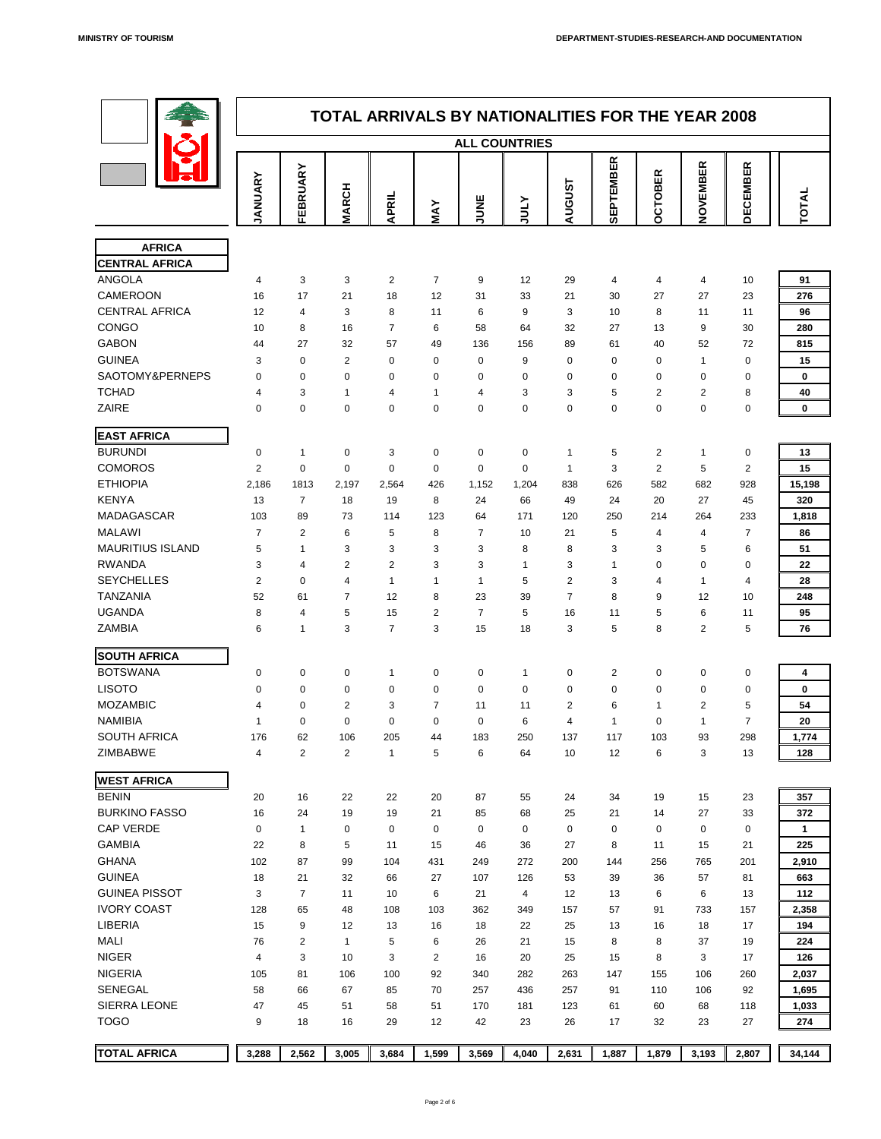

|                                      |                            |                                                 |                      |                        |                      |                      |                       | <b>TOTAL ARRIVALS BY NATIONALITIES FOR THE YEAR 2008</b> |                      |                                    |                      |                 |                  |
|--------------------------------------|----------------------------|-------------------------------------------------|----------------------|------------------------|----------------------|----------------------|-----------------------|----------------------------------------------------------|----------------------|------------------------------------|----------------------|-----------------|------------------|
|                                      |                            |                                                 |                      |                        |                      | <b>ALL COUNTRIES</b> |                       |                                                          |                      |                                    |                      |                 |                  |
|                                      | ANUARY                     | ARY<br>$\overline{\phantom{a}}$<br><b>FEBRI</b> | <b>ARCH</b><br>Σ     | <b>APRIL</b>           | MAY                  | <b>JUNE</b>          | <b>ATNC</b>           | <b>AUGUST</b>                                            | <b>SEPTEMBER</b>     | OBER<br>$\mathbf C$<br>$\mathbf O$ | NOVEMBER             | <b>DECEMBER</b> | TOTAL            |
|                                      |                            |                                                 |                      |                        |                      |                      |                       |                                                          |                      |                                    |                      |                 |                  |
| <b>AFRICA</b>                        |                            |                                                 |                      |                        |                      |                      |                       |                                                          |                      |                                    |                      |                 |                  |
| <b>CENTRAL AFRICA</b>                |                            |                                                 |                      |                        |                      |                      |                       |                                                          |                      |                                    |                      |                 |                  |
| <b>ANGOLA</b><br><b>CAMEROON</b>     | 4<br>16                    | 3 <sup>1</sup><br>17                            | $\mathbf{3}$<br>21   | 2 <sup>1</sup><br>18   | $\overline{7}$<br>12 | 9<br>31              | 12 <sup>2</sup><br>33 | 29<br>21                                                 | $\overline{4}$<br>30 | $\overline{4}$<br>27               | $\overline{4}$<br>27 | 10<br>23        | 91<br>276        |
| <b>CENTRAL AFRICA</b>                | 12                         | $\overline{4}$                                  | 3                    | 8                      | 11                   | 6                    | 9                     | 3                                                        | 10                   | 8                                  | 11                   | 11              | 96               |
| <b>CONGO</b>                         | 10                         | 8                                               | 16                   | $\overline{7}$         | 6                    | 58                   | 64                    | 32                                                       | 27                   | 13                                 | 9                    | 30              | 280              |
| <b>GABON</b>                         | 44                         | 27                                              | 32                   | 57                     | 49                   | 136                  | 156                   | 89                                                       | 61                   | 40                                 | 52                   | 72              | 815              |
| <b>GUINEA</b>                        | $\mathbf{3}$               | $\overline{0}$                                  | $\Omega$             | $\overline{0}$         | $\overline{0}$       | $\overline{0}$       | 9                     | $\overline{0}$                                           | $\overline{0}$       | $\overline{0}$                     | $\overline{A}$       | $\overline{0}$  | 15               |
| <b>SAOTOMY&amp;PERNEPS</b>           | $\overline{0}$             | $\overline{0}$                                  | $\overline{0}$       | $\overline{0}$         | $\overline{0}$       | $\mathbf 0$          | $\overline{0}$        | $\overline{0}$                                           | $\overline{0}$       | $\overline{0}$                     | $\overline{0}$       | $\overline{0}$  | $\mathbf 0$      |
| <b>TCHAD</b>                         | 4                          | 3                                               |                      | $\overline{4}$         |                      | $\overline{4}$       | 3                     | 3                                                        | 5                    | $\overline{2}$                     | $\overline{2}$       | 8               | 40               |
| <b>ZAIRE</b>                         | $\overline{0}$             | $\overline{0}$                                  | $\overline{0}$       | $\mathbf{0}$           | $\overline{0}$       | $\overline{0}$       | $\overline{0}$        | $\overline{0}$                                           | $\overline{0}$       | $\overline{0}$                     | $\overline{0}$       | $\overline{0}$  | $\mathbf 0$      |
|                                      |                            |                                                 |                      |                        |                      |                      |                       |                                                          |                      |                                    |                      |                 |                  |
| <b>EAST AFRICA</b><br><b>BURUNDI</b> | $\Omega$                   |                                                 | $\overline{0}$       | 3                      | $\overline{0}$       | $\overline{0}$       | $\overline{0}$        |                                                          | 5                    | $\overline{2}$                     |                      | $\overline{0}$  | 13               |
| <b>COMOROS</b>                       | $\overline{2}$             | $\overline{0}$                                  | $\overline{0}$       | $\overline{0}$         | $\overline{0}$       | $\overline{0}$       | $\overline{0}$        |                                                          | 3                    | $\overline{2}$                     | 5                    | $\overline{2}$  | 15               |
| <b>ETHIOPIA</b>                      | 2,186                      | 1813                                            | 2,197                | 2,564                  | 426                  | 1,152                | 1,204                 | 838                                                      | 626                  | 582                                | 682                  | 928             | 15,198           |
| <b>KENYA</b>                         | 13                         | $\overline{7}$                                  | 18                   | 19                     | 8                    | 24                   | 66                    | 49                                                       | 24                   | 20                                 | 27                   | 45              | 320              |
| <b>MADAGASCAR</b>                    | 103                        | 89                                              | 73                   | 114                    | 123                  | 64                   | 171                   | 120                                                      | 250                  | 214                                | 264                  | 233             | 1,818            |
| <b>MALAWI</b>                        |                            | $\overline{2}$                                  | 6                    | 5                      | 8                    | $\overline{7}$       | 10                    | 21                                                       | 5                    | 4                                  | 4                    | $\overline{7}$  | 86               |
| <b>MAURITIUS ISLAND</b>              | 5                          |                                                 | 3                    | 3                      | 3                    | 3                    | 8                     | 8                                                        | 3                    | 3                                  | 5                    | 6               | 51               |
| <b>RWANDA</b>                        | 3                          | 4                                               | $\overline{2}$       | $\overline{2}$         | $\mathbf{3}$         | 3                    |                       | 3                                                        |                      | $\Omega$                           | $\overline{0}$       | $\overline{0}$  | 22               |
| <b>SEYCHELLES</b>                    | $\overline{2}$             | $\overline{0}$                                  | 4                    |                        |                      |                      | 5                     | $\overline{2}$                                           | 3                    | 4                                  |                      | $\overline{4}$  | 28               |
| <b>TANZANIA</b>                      | 52                         | 61                                              | $\overline{7}$       | 12                     | 8                    | 23                   | 39                    |                                                          | 8                    | 9                                  | 12                   | 10              | 248              |
| <b>UGANDA</b>                        | 8                          | 4                                               | 5                    | 15                     | $\overline{2}$       | $\overline{7}$       | 5                     | 16                                                       | 11                   | 5                                  | 6                    | 11              | 95               |
| <b>ZAMBIA</b>                        | 6                          |                                                 | $\mathcal{S}$        | $\overline{7}$         | $\mathcal{S}$        | 15                   | 18                    | 3                                                        | $5^{\circ}$          | 8                                  | $\overline{2}$       | 5               | 76               |
| <b>SOUTH AFRICA</b>                  |                            |                                                 |                      |                        |                      |                      |                       |                                                          |                      |                                    |                      |                 |                  |
| <b>BOTSWANA</b>                      | $\overline{0}$             | $\overline{0}$                                  | $\overline{0}$       |                        | $\overline{0}$       | $\overline{0}$       |                       |                                                          | $\overline{2}$       | $\overline{0}$                     | $\overline{0}$       | $\theta$        |                  |
| <b>LISOTO</b>                        | $\overline{0}$             | $\overline{0}$                                  | $\overline{0}$       | $\overline{0}$         | $\overline{0}$       | $\overline{0}$       | $\overline{0}$        | $\boldsymbol{0}$<br>$\boldsymbol{0}$                     | $\overline{0}$       | $\overline{0}$                     | $\overline{0}$       | $\overline{0}$  | 4<br>$\mathbf 0$ |
| <b>MOZAMBIC</b>                      | 4                          | $\overline{0}$                                  | $\overline{2}$       | 3                      | $\overline{7}$       | 11                   | 11                    | $\overline{2}$                                           | 6                    |                                    | $\overline{2}$       | 5               | 54               |
| <b>NAMIBIA</b>                       | $\boldsymbol{\mathcal{A}}$ | $\overline{0}$                                  | $\overline{0}$       | $\overline{0}$         | $\overline{0}$       | $\mathbf 0$          | 6                     | $\overline{4}$                                           | -1                   | $\overline{0}$                     |                      | $\overline{7}$  | <b>20</b>        |
| <b>SOUTH AFRICA</b>                  | 176                        | 62                                              | 106                  | 205                    | 44                   | 183                  | 250                   | 137                                                      | 117                  | 103                                | 93                   | 298             | 1,774            |
| <b>ZIMBABWE</b>                      | 4                          | $\overline{2}$                                  | $\overline{2}$       | 1                      | 5                    | 6                    | 64                    | 10                                                       | 12                   | 6                                  | 3                    | 13              | 128              |
|                                      |                            |                                                 |                      |                        |                      |                      |                       |                                                          |                      |                                    |                      |                 |                  |
| <b>WEST AFRICA</b>                   |                            |                                                 |                      |                        |                      |                      |                       |                                                          |                      |                                    |                      |                 |                  |
| <b>BENIN</b>                         | 20                         | 16                                              | 22                   | 22                     | 20                   | 87                   | 55                    | 24                                                       | 34                   | 19                                 | 15                   | 23              | 357              |
| <b>BURKINO FASSO</b>                 | 16                         | 24                                              | 19                   | 19                     | 21                   | 85                   | 68                    | 25                                                       | 21                   | 14                                 | 27                   | 33              | 372              |
| <b>CAP VERDE</b>                     | $\overline{0}$             | 1                                               | $\overline{0}$       | $\overline{0}$         | $\overline{0}$       | $\overline{0}$       | $\overline{0}$        | $\mathbf 0$                                              | $\overline{0}$       | $\overline{0}$                     | $\overline{0}$       | $\overline{0}$  | $\mathbf 1$      |
| <b>GAMBIA</b>                        | 22                         | 8                                               | 5                    | 11                     | 15                   | 46                   | 36                    | 27                                                       | 8                    | 11                                 | 15                   | 21              | 225              |
| <b>GHANA</b>                         | 102                        | 87                                              | 99                   | 104                    | 431                  | 249                  | 272                   | 200                                                      | 144                  | 256                                | 765                  | 201             | 2,910            |
| <b>GUINEA</b>                        | 18                         | 21                                              | 32                   | 66                     | 27                   | 107                  | 126                   | 53                                                       | 39                   | 36                                 | 57                   | 81              | 663              |
| <b>GUINEA PISSOT</b>                 | 3                          | $\overline{7}$                                  | 11                   | 10                     | 6                    | 21                   | $\overline{4}$        | 12                                                       | 13                   | 6                                  | 6                    | 13              | 112              |
| <b>IVORY COAST</b>                   | 128                        | 65                                              | 48                   | 108                    | 103                  | 362                  | 349                   | 157                                                      | 57                   | 91                                 | 733                  | 157             | 2,358            |
| <b>LIBERIA</b><br><b>MALI</b>        | 15<br>76                   | 9<br>$\overline{2}$                             | 12<br>$\overline{1}$ | 13<br>5                | 16<br>6              | 18<br>26             | 22<br>21              | 25<br>15                                                 | 13<br>8              | 16<br>8                            | 18<br>37             | 17<br>19        | 194<br>224       |
| <b>NIGER</b>                         |                            |                                                 |                      |                        |                      | 16                   |                       |                                                          |                      |                                    |                      | 17              |                  |
| <b>NIGERIA</b>                       | $\overline{4}$<br>105      | 3<br>81                                         | 10<br>106            | $3\overline{3}$<br>100 | $\overline{2}$<br>92 | 340                  | 20<br>282             | 25<br>263                                                | 15<br>147            | 8<br>155                           | $\mathbf{3}$<br>106  | 260             | 126<br>2,037     |
| <b>SENEGAL</b>                       | 58                         | 66                                              | 67                   | 85                     | 70                   | 257                  | 436                   | 257                                                      | 91                   | 110                                | 106                  | 92              | 1,695            |
| <b>SIERRA LEONE</b>                  | 47                         | 45                                              | 51                   | 58                     | 51                   | 170                  | 181                   | 123                                                      | 61                   | 60                                 | 68                   | 118             | 1,033            |
| <b>TOGO</b>                          | 9                          | 18                                              | 16                   | 29                     | 12                   | 42                   | 23                    | 26                                                       | 17                   | 32                                 | 23                   | 27              | 274              |
|                                      |                            |                                                 |                      |                        |                      |                      |                       |                                                          |                      |                                    |                      |                 |                  |
| <b>TOTAL AFRICA</b>                  | 3,288                      | 2,562                                           | 3,005                | 3,684                  | 1,599                | 3,569                | 4,040                 | 2,631                                                    | 1,887                | 1,879                              | 3,193                | 2,807           | 34,144           |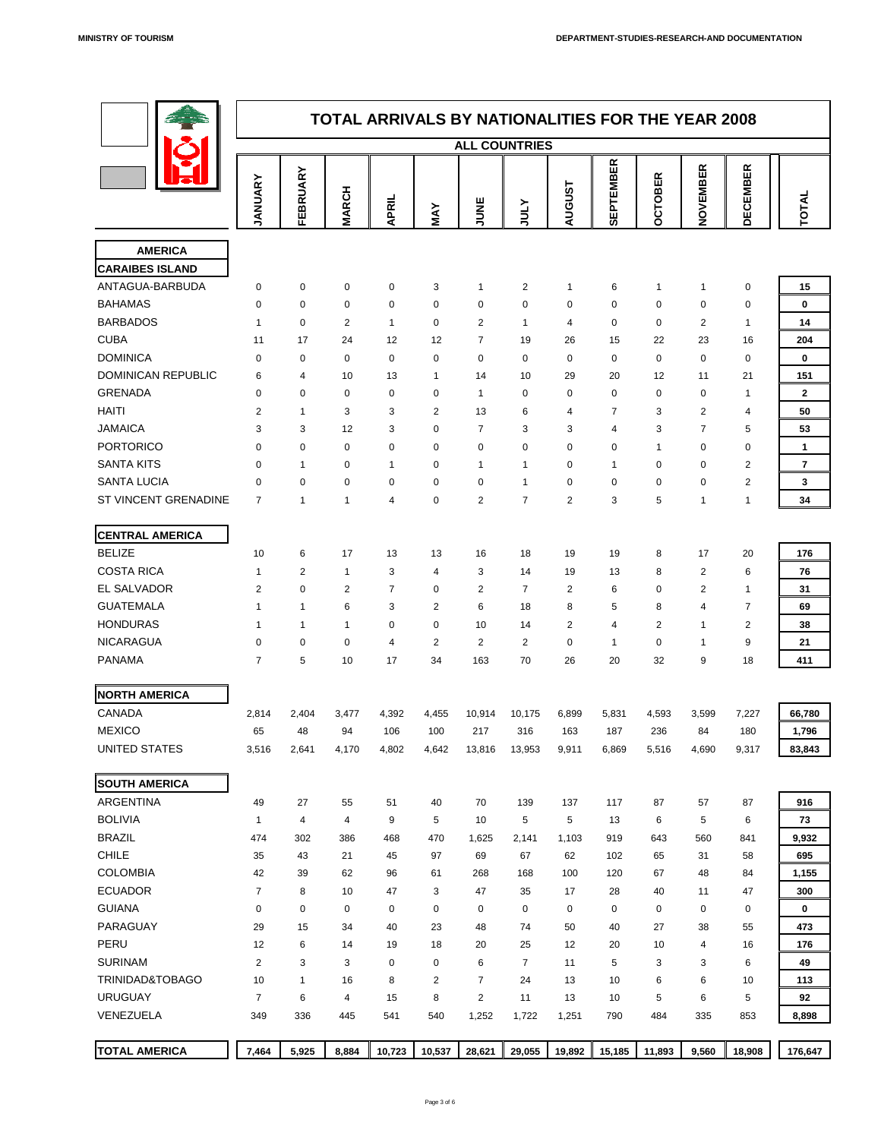| ¢. |
|----|
|    |
|    |



|                           |                |                |                |                         |                |                | <b>TOTAL ARRIVALS BY NATIONALITIES FOR THE YEAR 2008</b> |                |                    |                |                  |                          |                         |
|---------------------------|----------------|----------------|----------------|-------------------------|----------------|----------------|----------------------------------------------------------|----------------|--------------------|----------------|------------------|--------------------------|-------------------------|
|                           |                |                |                |                         |                |                | <b>ALL COUNTRIES</b>                                     |                |                    |                |                  |                          |                         |
|                           | ANUARY         | <b>EBRUARY</b> | <b>MARCH</b>   | <b>APRIL</b>            | MAY            | <b>UNNIV</b>   | <b>ATOL</b>                                              | <b>AUGUST</b>  | PTEMBER<br>ພິ<br>ທ | <b>OCTOBER</b> | NOVEMBER         | <b>DECEMBER</b>          | TOTAI                   |
| <b>AMERICA</b>            |                |                |                |                         |                |                |                                                          |                |                    |                |                  |                          |                         |
| <b>CARAIBES ISLAND</b>    |                |                |                |                         |                |                |                                                          |                |                    |                |                  |                          |                         |
| ANTAGUA-BARBUDA           | $\Omega$       | $\overline{0}$ | $\overline{0}$ | $\overline{0}$          | 3              |                | $\overline{2}$                                           | 1              | 6                  |                |                  | $\overline{0}$           | 15                      |
| <b>BAHAMAS</b>            | $\Omega$       | $\overline{0}$ | $\overline{0}$ | $\overline{0}$          | $\overline{0}$ | $\overline{0}$ | $\overline{0}$                                           | $\overline{0}$ | $\overline{0}$     | $\overline{0}$ | $\overline{0}$   | $\overline{0}$           | $\boldsymbol{0}$        |
| <b>BARBADOS</b>           |                | $\overline{0}$ | $\overline{2}$ | $\overline{\mathbf{A}}$ | $\overline{0}$ | $\overline{2}$ | 1                                                        | $\overline{4}$ | $\overline{0}$     | $\overline{0}$ | $\overline{2}$   | $\overline{\phantom{a}}$ | 14                      |
| <b>CUBA</b>               | 11             | 17             | 24             | 12                      | 12             | $\overline{7}$ | 19                                                       | 26             | 15                 | 22             | 23               | 16                       | 204                     |
| <b>DOMINICA</b>           | $\Omega$       | $\overline{0}$ | $\overline{0}$ | $\overline{0}$          | $\overline{0}$ | $\overline{0}$ | $\overline{0}$                                           | $\overline{0}$ | $\overline{0}$     | $\overline{0}$ | $\overline{0}$   | $\overline{0}$           | $\bf{0}$                |
| <b>DOMINICAN REPUBLIC</b> | $\mathbf b$    | 4              | 10             | 13                      |                | 14             | 10                                                       | 29             | 20                 | 12             | 11               | 21                       | 151                     |
| <b>GRENADA</b>            | $\Omega$       | $\overline{0}$ | $\overline{0}$ | $\mathbf 0$             | $\overline{0}$ |                | $\boldsymbol{0}$                                         | $\overline{0}$ | $\overline{0}$     | $\overline{0}$ | $\boldsymbol{0}$ |                          | 2 <sup>1</sup>          |
| <b>HAITI</b>              | $\overline{2}$ |                | 3              | 3                       | $\overline{2}$ | 13             | 6                                                        | 4              | $\overline{7}$     | 3              | 2                | 4                        | 50                      |
| <b>JAMAICA</b>            | $\mathcal{S}$  | 3              | 12             | 3                       | $\overline{0}$ | $\overline{7}$ | 3                                                        | 3              | 4                  | 3              | $\overline{7}$   | 5                        | 53                      |
| <b>PORTORICO</b>          | $\Omega$       | $\overline{0}$ | $\overline{0}$ | $\mathbf 0$             | $\overline{0}$ | $\overline{0}$ | $\boldsymbol{0}$                                         | $\overline{0}$ | $\overline{0}$     |                | $\overline{0}$   | $\overline{0}$           |                         |
| <b>SANTA KITS</b>         | $\Omega$       |                | $\overline{0}$ |                         | $\overline{0}$ |                |                                                          | $\overline{0}$ |                    | $\overline{0}$ | $\overline{0}$   | 2                        | $\overline{\mathbf{7}}$ |
| <b>SANTA LUCIA</b>        | $\overline{0}$ | $\overline{0}$ | $\overline{0}$ | $\mathbf 0$             | $\overline{0}$ | $\overline{0}$ |                                                          | $\overline{0}$ | $\overline{0}$     | $\overline{0}$ | $\overline{0}$   | 2                        | 3                       |
| ST VINCENT GRENADINE      | $\overline{7}$ |                |                | $\overline{4}$          | $\overline{0}$ | $\overline{2}$ | 7                                                        | $\overline{2}$ | 3                  | 5              |                  |                          | 34                      |

**CENTRAL AMERICA**

| <b>BELIZE</b>              | 10             | 6              | 17             | 13               | 13             | 16             | 18              | 19              | 19             | 8              | 17              | 20               | 176         |
|----------------------------|----------------|----------------|----------------|------------------|----------------|----------------|-----------------|-----------------|----------------|----------------|-----------------|------------------|-------------|
| <b>COSTA RICA</b>          | $\mathbf 1$    | $\overline{2}$ | 1              | 3                | $\overline{4}$ | 3              | 14              | 19              | 13             | 8              | $\overline{2}$  | 6                | 76          |
| <b>EL SALVADOR</b>         | 2              | $\overline{0}$ | $\overline{2}$ | $\overline{7}$   | $\overline{0}$ | $\overline{2}$ | $\overline{7}$  | $\overline{2}$  | 6              | $\overline{0}$ | $\overline{2}$  |                  | 31          |
| <b>GUATEMALA</b>           | $\mathbf 1$    |                | 6              | 3                | $\overline{2}$ | 6              | 18              | 8               | 5              | 8              | 4               | $\overline{7}$   | 69          |
| <b>HONDURAS</b>            | $\mathbf 1$    |                | 1              | $\boldsymbol{0}$ | $\overline{0}$ | 10             | 14              | $\overline{2}$  | $\overline{4}$ | $\overline{2}$ |                 | $\overline{2}$   | 38          |
| <b>NICARAGUA</b>           | $\overline{0}$ | $\overline{0}$ | $\overline{0}$ | $\overline{4}$   | $\overline{2}$ | 2              | $\overline{2}$  | $\overline{0}$  | $\mathbf 1$    | $\overline{0}$ |                 | 9                | 21          |
| <b>PANAMA</b>              | $\overline{7}$ | 5              | 10             | 17               | 34             | 163            | 70              | 26              | 20             | 32             | 9               | 18               | 411         |
| <b>NORTH AMERICA</b>       |                |                |                |                  |                |                |                 |                 |                |                |                 |                  |             |
| <b>CANADA</b>              | 2,814          | 2,404          | 3,477          | 4,392            | 4,455          | 10,914         | 10,175          | 6,899           | 5,831          | 4,593          | 3,599           | 7,227            | 66,780      |
| <b>MEXICO</b>              | 65             | 48             | 94             | 106              | 100            | 217            | 316             | 163             | 187            | 236            | 84              | 180              | 1,796       |
| <b>UNITED STATES</b>       | 3,516          | 2,641          | 4,170          | 4,802            | 4,642          | 13,816         | 13,953          | 9,911           | 6,869          | 5,516          | 4,690           | 9,317            | 83,843      |
| <b>SOUTH AMERICA</b>       |                |                |                |                  |                |                |                 |                 |                |                |                 |                  |             |
| <b>ARGENTINA</b>           | 49             | 27             | 55             | 51               | 40             | 70             | 139             | 137             | 117            | 87             | 57              | 87               | 916         |
| <b>BOLIVIA</b>             |                | 4              | $\overline{4}$ | 9                | 5              | 10             | $5\overline{)}$ | $5\overline{)}$ | 13             | 6              | 5               | 6                | 73          |
| <b>BRAZIL</b>              | 474            | 302            | 386            | 468              | 470            | 1,625          | 2,141           | 1,103           | 919            | 643            | 560             | 841              | 9,932       |
| <b>CHILE</b>               | 35             | 43             | 21             | 45               | 97             | 69             | 67              | 62              | 102            | 65             | 31              | 58               | 695         |
| <b>COLOMBIA</b>            | 42             | 39             | 62             | 96               | 61             | 268            | 168             | 100             | 120            | 67             | 48              | 84               | 1,155       |
| <b>ECUADOR</b>             | $\overline{7}$ | 8              | 10             | 47               | 3              | 47             | 35              | 17              | 28             | 40             | 11              | 47               | 300         |
| <b>GUIANA</b>              | $\overline{0}$ | $\overline{0}$ | $\overline{0}$ | $\overline{0}$   | $\overline{0}$ | $\overline{0}$ | $\overline{0}$  | $\overline{0}$  | $\overline{0}$ | $\overline{0}$ | $\overline{0}$  | $\boldsymbol{0}$ | $\mathbf 0$ |
| <b>PARAGUAY</b>            | 29             | 15             | 34             | 40               | 23             | 48             | 74              | 50              | 40             | 27             | 38              | 55               | 473         |
| <b>PERU</b>                | 12             | 6              | 14             | 19               | 18             | 20             | 25              | 12              | 20             | 10             | 4               | 16               | 176         |
| <b>SURINAM</b>             | $\overline{2}$ | 3              | 3              | $\boldsymbol{0}$ | $\overline{0}$ | 6              | $\overline{7}$  | 11              | 5              | 3              | 3               | 6                | 49          |
| <b>TRINIDAD&amp;TOBAGO</b> | 10             | 1              | 16             | 8                | $\overline{2}$ | $\overline{7}$ | 24              | 13              | 10             | 6              | $6\phantom{1}6$ | 10               | 113         |
| <b>URUGUAY</b>             | $\overline{7}$ | 6              | $\overline{4}$ | 15               | 8              | $\overline{2}$ | 11              | 13              | 10             | 5              | $6\phantom{1}6$ | 5                | 92          |
| <b>VENEZUELA</b>           | 349            | 336            | 445            | 541              | 540            | 1,252          | 1,722           | 1,251           | 790            | 484            | 335             | 853              | 8,898       |
| <b>TOTAL AMERICA</b>       | 7,464          | 5,925          | 8,884          | 10,723           | 10,537         | 28,621         | 29,055          | 19,892          | 15,185         | 11,893         | 9,560           | 18,908           | 176,647     |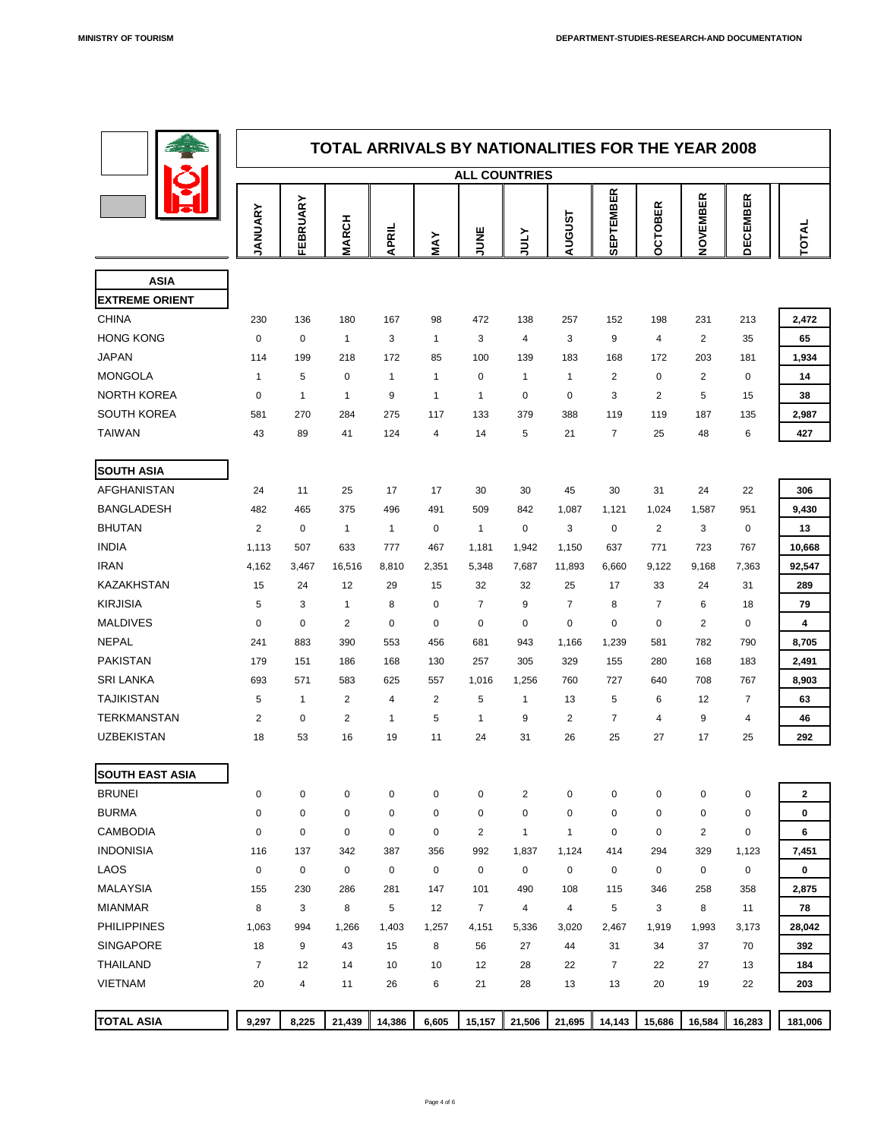

|                               | <b>TOTAL ARRIVALS BY NATIONALITIES FOR THE YEAR 2008</b><br><b>ALL COUNTRIES</b> |                       |                          |                       |                         |                                  |                            |                |                       |                                  |                                  |                         |                         |
|-------------------------------|----------------------------------------------------------------------------------|-----------------------|--------------------------|-----------------------|-------------------------|----------------------------------|----------------------------|----------------|-----------------------|----------------------------------|----------------------------------|-------------------------|-------------------------|
|                               |                                                                                  |                       |                          |                       |                         |                                  |                            |                |                       |                                  |                                  |                         |                         |
|                               | JANUARY                                                                          | FEBRUARY              | <b>MARCH</b>             | APRIL                 | MAY                     | JUNE                             | NTN                        | <b>AUGUST</b>  | <b>SEPTEMBER</b>      | <b>OCTOBER</b>                   | NOVEMBER                         | <b>DECEMBER</b>         | TOTAL                   |
| <b>ASIA</b>                   |                                                                                  |                       |                          |                       |                         |                                  |                            |                |                       |                                  |                                  |                         |                         |
| <b>EXTREME ORIENT</b>         |                                                                                  |                       |                          |                       |                         |                                  |                            |                |                       |                                  |                                  |                         |                         |
| <b>CHINA</b>                  | 230                                                                              | 136                   | 180                      | 167                   | 98                      | 472                              | 138                        | 257            | 152                   | 198                              | 231                              | 213                     | 2,472                   |
| <b>HONG KONG</b>              | $\overline{0}$                                                                   | $\overline{0}$        | $\overline{\mathbf{1}}$  | 3                     | $\overline{1}$          | $\mathbf{3}$                     | $\overline{4}$             | $\mathbf{3}$   | 9                     | $\overline{4}$                   | 2                                | 35                      | 65                      |
| <b>JAPAN</b>                  | 114                                                                              | 199                   | 218                      | 172                   | 85                      | 100                              | 139                        | 183            | 168                   | 172                              | 203                              | 181                     | 1,934                   |
| <b>MONGOLA</b>                | $\mathbf 1$                                                                      | 5                     | $\overline{0}$           | 1                     | $\mathbf 1$             | $\overline{0}$                   | $\mathbf 1$                |                | $\overline{2}$        | $\overline{0}$                   | $\overline{2}$                   | $\overline{0}$          | 14                      |
| <b>NORTH KOREA</b>            | $\overline{0}$                                                                   | $\mathbf 1$           | $\mathbf 1$              | 9                     | $\overline{1}$          | $\overline{1}$                   | $\overline{0}$             | $\overline{0}$ | 3                     | $\overline{2}$                   | 5                                | 15                      | 38                      |
| <b>SOUTH KOREA</b>            | 581                                                                              | 270                   | 284                      | 275                   | 117                     | 133                              | 379                        | 388            | 119                   | 119                              | 187                              | 135                     | 2,987                   |
| <b>TAIWAN</b>                 | 43                                                                               | 89                    | 41                       | 124                   | $\overline{4}$          | 14                               | 5                          | 21             | $\overline{7}$        | 25                               | 48                               | 6                       | 427                     |
|                               |                                                                                  |                       |                          |                       |                         |                                  |                            |                |                       |                                  |                                  |                         |                         |
| <b>SOUTH ASIA</b>             |                                                                                  |                       |                          |                       |                         |                                  |                            |                |                       |                                  |                                  |                         |                         |
| <b>AFGHANISTAN</b>            | 24                                                                               | 11                    | 25                       | 17                    | 17                      | 30                               | 30                         | 45             | 30                    | 31                               | 24                               | 22                      | 306                     |
| <b>BANGLADESH</b>             | 482                                                                              | 465                   | 375                      | 496                   | 491                     | 509                              | 842                        | 1,087          | 1,121                 | 1,024                            | 1,587                            | 951                     | 9,430                   |
| <b>BHUTAN</b>                 | $\overline{2}$                                                                   | $\mathbf 0$           | $\overline{\mathcal{L}}$ | 1                     | $\boldsymbol{0}$        | 1                                | $\mathbf 0$                | 3              | $\overline{0}$        | $\overline{2}$                   | 3                                | $\overline{0}$          | 13                      |
| <b>INDIA</b><br><b>IRAN</b>   | 1,113                                                                            | 507                   | 633                      | 777                   | 467                     | 1,181                            | 1,942                      | 1,150          | 637                   | 771                              | 723                              | 767                     | 10,668                  |
| <b>KAZAKHSTAN</b>             | 4,162<br>15                                                                      | 3,467<br>24           | 16,516<br>12             | 8,810<br>29           | 2,351<br>15             | 5,348<br>32                      | 7,687<br>32                | 11,893<br>25   | 6,660<br>17           | 9,122<br>33                      | 9,168<br>24                      | 7,363<br>31             | 92,547<br>289           |
| <b>KIRJISIA</b>               | 5                                                                                | 3                     |                          | 8                     | $\boldsymbol{0}$        | $\overline{7}$                   | 9                          | $\overline{7}$ | 8                     | $\overline{7}$                   | $6\phantom{1}$                   | 18                      | 79                      |
| <b>MALDIVES</b>               | $\mathbf 0$                                                                      | $\mathbf 0$           | 2                        | $\overline{0}$        | $\boldsymbol{0}$        | $\boldsymbol{0}$                 | $\mathbf 0$                | $\overline{0}$ | $\overline{0}$        | $\overline{0}$                   | $\overline{2}$                   | $\overline{0}$          | $\overline{\mathbf{4}}$ |
| <b>NEPAL</b>                  | 241                                                                              | 883                   | 390                      | 553                   | 456                     | 681                              | 943                        | 1,166          | 1,239                 | 581                              | 782                              | 790                     | 8,705                   |
| <b>PAKISTAN</b>               | 179                                                                              | 151                   | 186                      | 168                   | 130                     | 257                              | 305                        | 329            | 155                   | 280                              | 168                              | 183                     | 2,491                   |
| <b>SRI LANKA</b>              | 693                                                                              | 571                   | 583                      | 625                   | 557                     | 1,016                            | 1,256                      | 760            | 727                   | 640                              | 708                              | 767                     | 8,903                   |
| <b>TAJIKISTAN</b>             | 5                                                                                | 1                     | $\overline{2}$           | 4                     | $\overline{2}$          | 5                                | $\boldsymbol{\mathcal{A}}$ | 13             | 5                     | 6                                | 12                               | $\overline{7}$          | 63                      |
| <b>TERKMANSTAN</b>            | $\overline{2}$                                                                   | $\overline{0}$        | $\overline{2}$           |                       | 5                       |                                  | 9                          | $\overline{2}$ | $\overline{7}$        | $\overline{4}$                   | 9                                | 4                       | 46                      |
| <b>UZBEKISTAN</b>             | 18                                                                               | 53                    | 16                       | 19                    | 11                      | 24                               | 31                         | 26             | 25                    | 27                               | 17                               | 25                      | 292                     |
|                               |                                                                                  |                       |                          |                       |                         |                                  |                            |                |                       |                                  |                                  |                         |                         |
| <b>SOUTH EAST ASIA</b>        |                                                                                  |                       |                          |                       |                         |                                  |                            |                |                       |                                  |                                  |                         |                         |
| <b>BRUNEI</b><br><b>BURMA</b> | $\boldsymbol{0}$                                                                 | $\overline{0}$        | $\overline{0}$           | $\overline{0}$        | $\boldsymbol{0}$        | $\overline{0}$                   | $\overline{2}$             | $\overline{0}$ | $\overline{0}$        | $\overline{0}$                   | $\overline{0}$                   | $\overline{0}$          | $\mathbf{2}$            |
| <b>CAMBODIA</b>               | $\theta$                                                                         | $\overline{0}$        | $\overline{0}$           | $\overline{0}$        | $\boldsymbol{0}$        | $\overline{0}$<br>$\overline{2}$ | $\mathbf 0$                | $\overline{0}$ | $\overline{0}$        | $\overline{0}$<br>$\overline{0}$ | $\overline{0}$<br>$\overline{2}$ | $\overline{0}$          | $\boldsymbol{0}$        |
| <b>INDONISIA</b>              | $\overline{0}$<br>116                                                            | $\overline{0}$<br>137 | $\overline{0}$<br>342    | $\overline{0}$<br>387 | $\boldsymbol{0}$<br>356 | 992                              | 1,837                      | 1,124          | $\overline{0}$<br>414 | 294                              | 329                              | $\overline{0}$<br>1,123 | $6\phantom{1}$<br>7,451 |
| <b>LAOS</b>                   | $\overline{0}$                                                                   | $\mathbf 0$           | $\overline{0}$           | $\mathbf 0$           | $\boldsymbol{0}$        | $\overline{0}$                   | $\overline{0}$             | $\overline{0}$ | $\overline{0}$        | $\overline{0}$                   | $\overline{0}$                   | $\overline{0}$          | $\boldsymbol{0}$        |
| <b>MALAYSIA</b>               | 155                                                                              | 230                   | 286                      | 281                   | 147                     | 101                              | 490                        | 108            | 115                   | 346                              | 258                              | 358                     | 2,875                   |
| <b>MIANMAR</b>                | 8                                                                                | 3                     | 8                        | 5                     | 12                      | $\overline{7}$                   | $\overline{4}$             | 4              | 5                     | 3                                | 8                                | 11                      | 78                      |
| <b>PHILIPPINES</b>            | 1,063                                                                            | 994                   | 1,266                    | 1,403                 | 1,257                   | 4,151                            | 5,336                      | 3,020          | 2,467                 | 1,919                            | 1,993                            | 3,173                   | 28,042                  |
| <b>SINGAPORE</b>              | 18                                                                               | 9                     | 43                       | 15                    | 8                       | 56                               | 27                         | 44             | 31                    | 34                               | 37                               | 70                      | 392                     |
| <b>THAILAND</b>               | $\overline{7}$                                                                   | 12                    | 14                       | 10                    | 10                      | 12                               | 28                         | 22             | $\overline{7}$        | 22                               | 27                               | 13                      | 184                     |
| <b>VIETNAM</b>                | 20                                                                               | $\overline{4}$        | 11                       | 26                    | $6\phantom{1}$          | 21                               | 28                         | 13             | 13                    | 20                               | 19                               | 22                      | 203                     |
|                               |                                                                                  |                       |                          |                       |                         |                                  |                            |                |                       |                                  |                                  |                         |                         |
| <b>TOTAL ASIA</b>             | 9,297                                                                            | 8,225                 | 21,439                   | 14,386                | 6,605                   | 15,157                           | 21,506                     | 21,695         | 14,143                | 15,686                           | 16,584                           | 16,283                  | 181,006                 |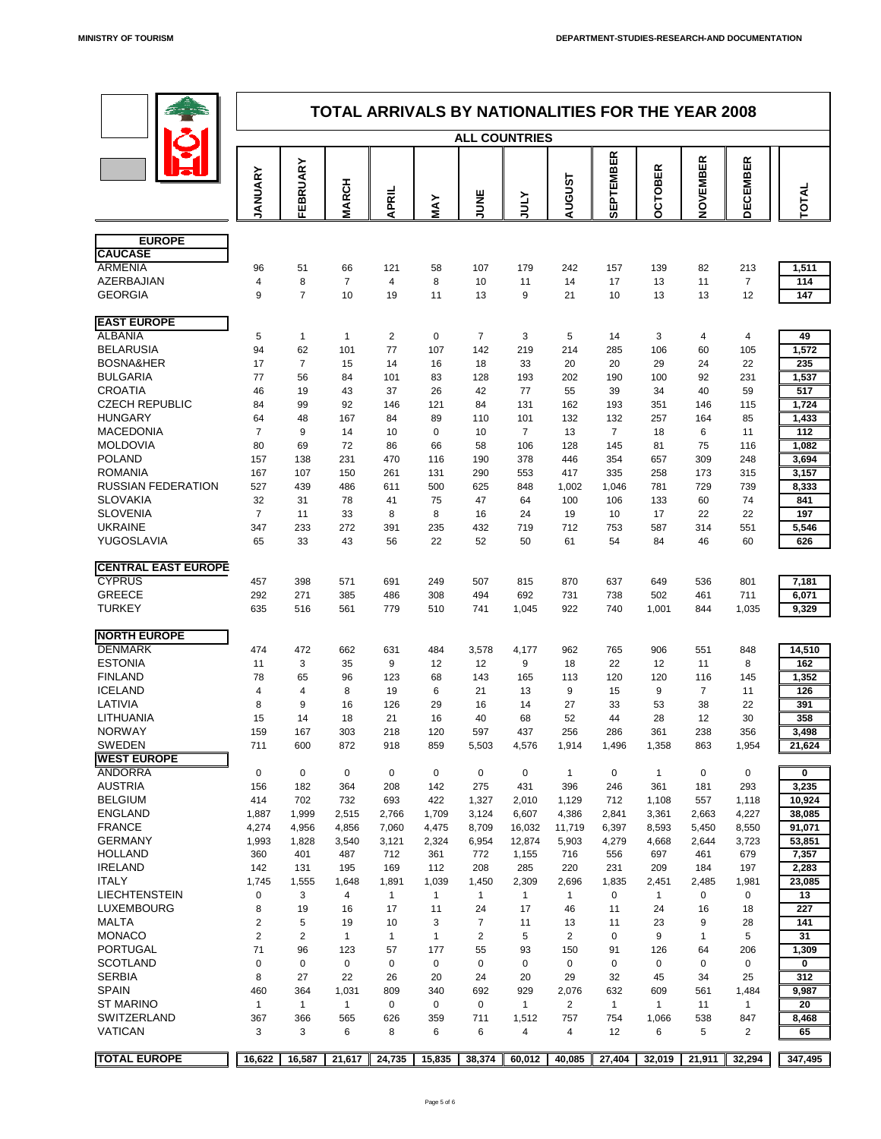

|                                             |                     |                      | <b>TOTAL ARRIVALS BY NATIONALITIES FOR THE YEAR 2008</b> |                      |                      |                      |                      |                      |                      |                      |                      |                      |                 |
|---------------------------------------------|---------------------|----------------------|----------------------------------------------------------|----------------------|----------------------|----------------------|----------------------|----------------------|----------------------|----------------------|----------------------|----------------------|-----------------|
|                                             |                     |                      |                                                          |                      |                      | <b>ALL COUNTRIES</b> |                      |                      |                      |                      |                      |                      |                 |
|                                             | ANUARY              | <b>ARY</b>           |                                                          |                      |                      |                      |                      | <b>AUGUST</b>        | <b>SEPTEMBER</b>     | <b>OBER</b>          | NOVEMBER             | <b>DECEMBER</b>      |                 |
|                                             |                     | FEBRU                | <b>MARCH</b>                                             | <b>APRIL</b>         | MAY                  | <b>JUNE</b>          | <b>ATNC</b>          |                      |                      | $\mathbf C$<br>O     |                      |                      | TOTAL           |
|                                             |                     |                      |                                                          |                      |                      |                      |                      |                      |                      |                      |                      |                      |                 |
| <b>EUROPE</b><br><b>CAUCASE</b>             |                     |                      |                                                          |                      |                      |                      |                      |                      |                      |                      |                      |                      |                 |
| <b>ARMENIA</b>                              | 96                  | 51                   | 66                                                       | 121                  | 58                   | 107                  | 179                  | 242                  | 157                  | 139                  | 82                   | 213                  | 1,511           |
| <b>AZERBAJIAN</b>                           | 4                   | 8                    | $\overline{7}$                                           | 4                    | 8                    | 10                   | 11                   | 14                   | 17                   | 13                   | 11                   | $\overline{7}$       | 114             |
| <b>GEORGIA</b>                              | 9                   | $\overline{7}$       | 10                                                       | 19                   | 11                   | 13                   | 9                    | 21                   | 10                   | 13                   | 13                   | 12                   | 147             |
| <b>EAST EUROPE</b>                          |                     |                      |                                                          |                      |                      |                      |                      |                      |                      |                      |                      |                      |                 |
| <b>ALBANIA</b>                              | 5                   |                      |                                                          | 2                    | $\overline{0}$       | $\overline{7}$       | $\mathbf{3}$         | 5                    | 14                   | $\mathbf{3}$         | 4                    | 4                    | 49              |
| <b>BELARUSIA</b>                            | 94                  | 62                   | 101                                                      | 77                   | 107                  | 142                  | 219                  | 214                  | 285                  | 106                  | 60                   | 105                  | 1,572           |
| <b>BOSNA&amp;HER</b><br><b>BULGARIA</b>     | 17<br>77            | 56                   | 15<br>84                                                 | 14<br>101            | 16<br>83             | 18<br>128            | 33<br>193            | 20<br>202            | 20<br>190            | 29<br>100            | 24<br>92             | 22<br>231            | 235<br>1,537    |
| <b>CROATIA</b>                              | 46                  | 19                   | 43                                                       | 37                   | 26                   | 42                   | 77                   | 55                   | 39                   | 34                   | 40                   | 59                   | 517             |
| <b>CZECH REPUBLIC</b>                       | 84                  | 99                   | 92                                                       | 146                  | 121                  | 84                   | 131                  | 162                  | 193                  | 351                  | 146                  | 115                  | 1,724           |
| <b>HUNGARY</b>                              | 64                  | 48                   | 167                                                      | 84                   | 89                   | 110                  | 101                  | 132                  | 132                  | 257                  | 164                  | 85                   | 1,433           |
| <b>MACEDONIA</b>                            | $\overline{7}$      | 9                    | 14                                                       | 10                   | $\overline{0}$       | 10                   | $\overline{7}$       | 13                   | $\overline{7}$       | 18                   | 6                    | 11                   | 112             |
| <b>MOLDOVIA</b>                             | 80                  | 69                   | 72                                                       | 86                   | 66                   | 58                   | 106                  | 128                  | 145                  | 81                   | 75                   | 116                  | 1,082           |
| <b>POLAND</b>                               | 157                 | 138                  | 231                                                      | 470                  | 116                  | 190                  | 378                  | 446                  | 354                  | 657                  | 309                  | 248                  | 3,694           |
| <b>ROMANIA</b><br><b>RUSSIAN FEDERATION</b> | 167<br>527          | 107<br>439           | 150<br>486                                               | 261<br>611           | 131<br>500           | 290<br>625           | 553<br>848           | 417<br>1,002         | 335<br>1,046         | 258<br>781           | 173<br>729           | 315<br>739           | 3,157<br>8,333  |
| <b>SLOVAKIA</b>                             | 32                  | 31                   | 78                                                       | 41                   | 75                   | 47                   | 64                   | 100                  | 106                  | 133                  | 60                   | 74                   | 841             |
| <b>SLOVENIA</b>                             | $\overline{7}$      | 11                   | 33                                                       | 8                    | 8                    | 16                   | 24                   | 19                   | 10 <sup>°</sup>      | 17                   | 22                   | 22                   | 197             |
| <b>UKRAINE</b>                              | 347                 | 233                  | 272                                                      | 391                  | 235                  | 432                  | 719                  | 712                  | 753                  | 587                  | 314                  | 551                  | 5,546           |
| YUGOSLAVIA                                  | 65                  | 33                   | 43                                                       | 56                   | 22                   | 52                   | 50                   | 61                   | 54                   | 84                   | 46                   | 60                   | 626             |
| <b>CENTRAL EAST EUROPE</b>                  |                     |                      |                                                          |                      |                      |                      |                      |                      |                      |                      |                      |                      |                 |
| <b>CYPRUS</b>                               | 457                 | 398                  | 571                                                      | 691                  | 249                  | 507                  | 815                  | 870                  | 637                  | 649                  | 536                  | 801                  | 7,181           |
| <b>GREECE</b>                               | 292                 | 271                  | 385                                                      | 486                  | 308                  | 494                  | 692                  | 731                  | 738                  | 502                  | 461                  | 711                  | 6,071           |
| <b>TURKEY</b>                               | 635                 | 516                  | 561                                                      | 779                  | 510                  | 741                  | 1,045                | 922                  | 740                  | 1,001                | 844                  | 1,035                | 9,329           |
| <b>NORTH EUROPE</b>                         |                     |                      |                                                          |                      |                      |                      |                      |                      |                      |                      |                      |                      |                 |
| <b>DENMARK</b>                              | 474                 | 472                  | 662                                                      | 631                  | 484                  | 3,578                | 4,177                | 962                  | 765                  | 906                  | 551                  | 848                  | 14,510          |
| <b>ESTONIA</b>                              | 11                  | 3                    | 35                                                       | 9                    | 12                   | 12                   | 9                    | 18                   | 22                   | 12                   | 11                   | 8                    | 162             |
| <b>FINLAND</b>                              | 78                  | 65                   | 96                                                       | 123                  | 68                   | 143                  | 165                  | 113                  | 120                  | 120                  | 116                  | 145                  | 1,352           |
| <b>ICELAND</b>                              | 4                   | 4                    | 8                                                        | 19                   | 6                    | 21                   | 13                   | 9                    | 15                   | 9                    | $\overline{7}$       | 11                   | 126             |
| LATIVIA                                     | 8                   | 9                    | 16                                                       | 126                  | 29                   | 16                   | 14                   | 27                   | 33                   | 53                   | 38                   | 22                   | 391             |
| LITHUANIA                                   | 15                  | 14                   | 18                                                       | 21                   | 16                   | 40                   | 68                   | 52                   | 44                   | 28                   | 12                   | 30                   | 358             |
| <b>NORWAY</b><br><b>SWEDEN</b>              | 159<br>711          | 167<br>600           | 303<br>872                                               | 218<br>918           | 120<br>859           | 597<br>5,503         | 437<br>4,576         | 256<br>1,914         | 286<br>1,496         | 361<br>1,358         | 238<br>863           | 356<br>1,954         | 3,498<br>21,624 |
| <b>WEST EUROPE</b>                          |                     |                      |                                                          |                      |                      |                      |                      |                      |                      |                      |                      |                      |                 |
| <b>ANDORRA</b>                              | $\overline{0}$      | $\overline{0}$       | $\overline{0}$                                           | $\overline{0}$       | $\overline{0}$       | $\overline{0}$       | $\overline{0}$       |                      | $\overline{0}$       |                      | $\overline{0}$       | $\overline{0}$       | $\mathbf 0$     |
| <b>AUSTRIA</b>                              | 156                 | 182                  | 364                                                      | 208                  | 142                  | 275                  | 431                  | 396                  | 246                  | 361                  | 181                  | 293                  | 3,235           |
| <b>BELGIUM</b>                              | 414                 | 702                  | 732                                                      | 693                  | 422                  | 1,327                | 2,010                | 1,129                | 712                  | 1,108                | 557                  | 1,118                | 10,924          |
| <b>ENGLAND</b>                              | 1,887               | 1,999                | 2,515                                                    | 2,766                | 1,709                | 3,124                | 6,607                | 4,386                | 2,841                | 3,361                | 2,663                | 4,227                | 38,085          |
| <b>FRANCE</b>                               | 4,274               | 4,956                | 4,856                                                    | 7,060                | 4,475                | 8,709                | 16,032               | 11,719               | 6,397                | 8,593                | 5,450                | 8,550                | 91,071          |
| <b>GERMANY</b><br><b>HOLLAND</b>            | 1,993               | 1,828                | 3,540                                                    | 3,121                | 2,324                | 6,954                | 12,874               | 5,903                | 4,279                | 4,668                | 2,644                | 3,723                | 53,851          |
| <b>IRELAND</b>                              | 360<br>142          | 401<br>131           | 487<br>195                                               | 712<br>169           | 361<br>112           | 772<br>208           | 1,155<br>285         | 716<br>220           | 556<br>231           | 697<br>209           | 461<br>184           | 679<br>197           | 7,357<br>2,283  |
| <b>ITALY</b>                                | 1,745               | 1,555                | 1,648                                                    | 1,891                | 1,039                | 1,450                | 2,309                | 2,696                | 1,835                | 2,451                | 2,485                | 1,981                | 23,085          |
| LIECHTENSTEIN                               | $\mathbf 0$         | 3                    | 4                                                        |                      |                      |                      |                      |                      | $\overline{0}$       |                      | $\overline{0}$       | $\overline{0}$       | 13              |
| LUXEMBOURG                                  | 8                   | 19                   | 16                                                       | 17                   | 11                   | 24                   | 17                   | 46                   | 11                   | 24                   | 16                   | 18                   | 227             |
| <b>MALTA</b>                                | $\overline{2}$      | 5                    | 19                                                       | 10                   | 3                    |                      | 11                   | 13                   | 11                   | 23                   | 9                    | 28                   | 141             |
| <b>MONACO</b>                               | $\overline{2}$      | $\overline{2}$       |                                                          |                      |                      | $\overline{2}$       | 5                    | $\overline{2}$       | $\overline{0}$       | 9                    |                      | 5                    | 31              |
| <b>PORTUGAL</b><br><b>SCOTLAND</b>          | 71                  | 96                   | 123                                                      | 57                   | 177                  | 55                   | 93                   | 150                  | 91                   | 126                  | 64                   | 206                  | 1,309           |
| <b>SERBIA</b>                               | $\overline{0}$<br>8 | $\overline{0}$<br>27 | $\overline{0}$<br>22                                     | $\overline{0}$<br>26 | $\overline{0}$<br>20 | $\overline{0}$<br>24 | $\overline{0}$<br>20 | $\overline{0}$<br>29 | $\overline{0}$<br>32 | $\overline{0}$<br>45 | $\overline{0}$<br>34 | $\overline{0}$<br>25 | 0<br>312        |
| <b>SPAIN</b>                                | 460                 | 364                  | 1,031                                                    | 809                  | 340                  | 692                  | 929                  | 2,076                | 632                  | 609                  | 561                  | 1,484                | 9,987           |
| <b>ST MARINO</b>                            |                     |                      |                                                          | $\overline{0}$       | $\overline{0}$       | $\overline{0}$       |                      | 2                    |                      |                      | 11                   |                      | 20              |
| <b>SWITZERLAND</b>                          | 367                 | 366                  | 565                                                      | 626                  | 359                  | 711                  | 1,512                | 757                  | 754                  | 1,066                | 538                  | 847                  | 8,468           |
| <b>VATICAN</b>                              | 3                   | 3                    | $6\overline{6}$                                          | 8                    | $6\overline{6}$      | 6                    | 4                    | 4                    | 12                   | 6                    | 5                    | $\overline{2}$       | 65              |
| <b>TOTAL EUROPE</b>                         | 16,622              | 16,587               | 21,617                                                   | 24,735               | 15,835               | 38,374               | 60,012               | 40,085               | 27,404               | 32,019               | 21,911               | 32,294               | 347,495         |